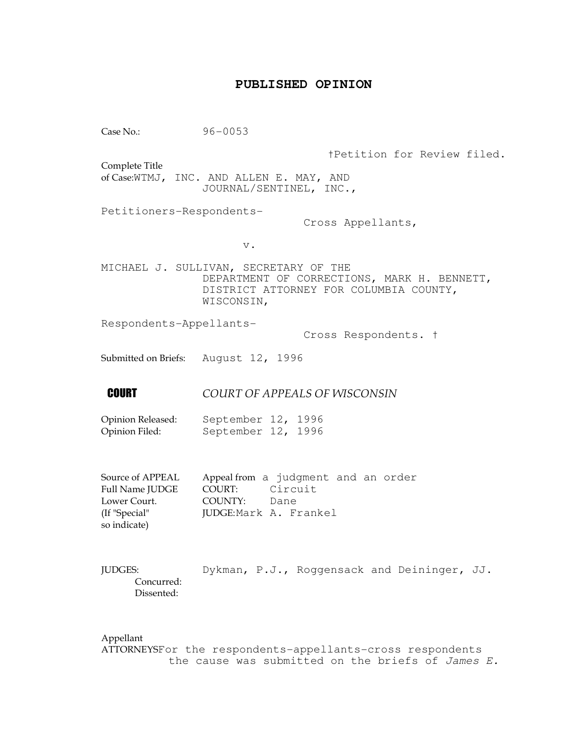## **PUBLISHED OPINION**

Case No.: 96-0053 †Petition for Review filed. Complete Title of Case:WTMJ, INC. AND ALLEN E. MAY, AND JOURNAL/SENTINEL, INC., Petitioners-Respondents- Cross Appellants, v. MICHAEL J. SULLIVAN, SECRETARY OF THE DEPARTMENT OF CORRECTIONS, MARK H. BENNETT, DISTRICT ATTORNEY FOR COLUMBIA COUNTY, WISCONSIN, Respondents-Appellants- Cross Respondents. † Submitted on Briefs: August 12, 1996 **COURT OF APPEALS OF WISCONSIN** Opinion Released: September 12, 1996 Opinion Filed: September 12, 1996 Source of APPEAL Appeal from a judgment and an order Full Name JUDGE COURT: Circuit Lower Court. COUNTY: Dane (If "Special" JUDGE: Mark A. Frankel so indicate) JUDGES: Dykman, P.J., Roggensack and Deininger, JJ. Concurred: Dissented:

Appellant ATTORNEYSFor the respondents-appellants-cross respondents the cause was submitted on the briefs of James E.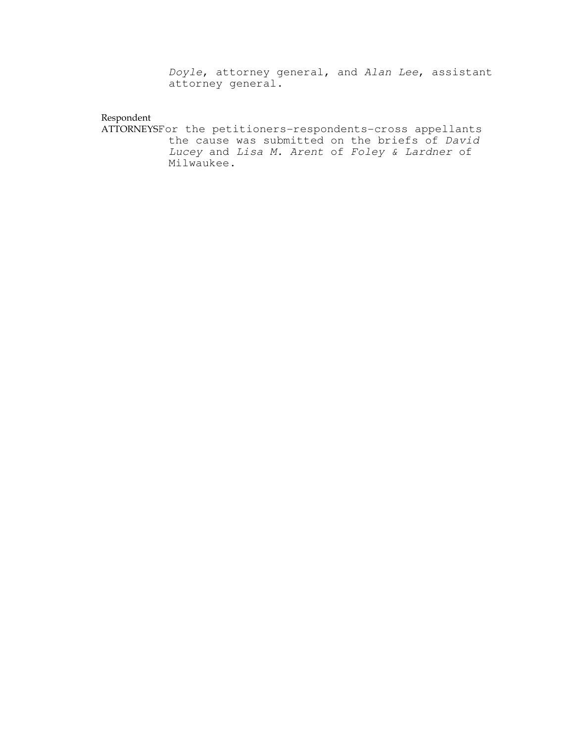Doyle, attorney general, and Alan Lee, assistant attorney general.

#### Respondent

ATTORNEYSFor the petitioners-respondents-cross appellants the cause was submitted on the briefs of David Lucey and Lisa M. Arent of Foley & Lardner of Milwaukee.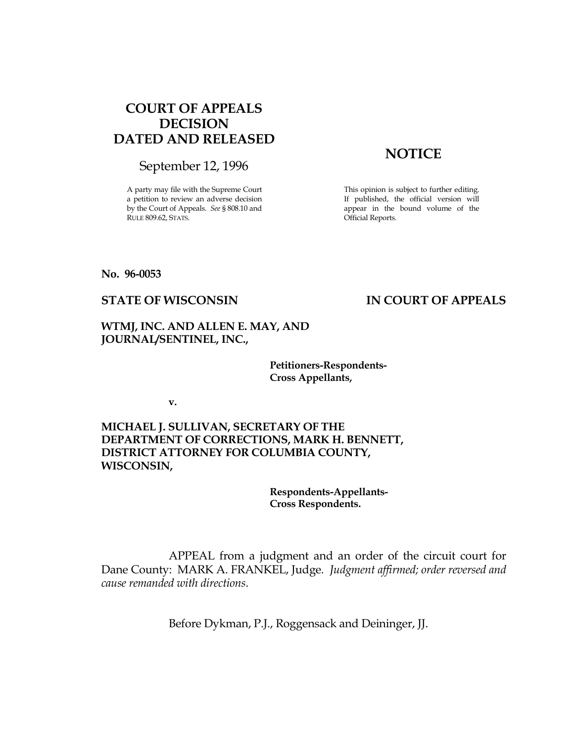# COURT OF APPEALS DECISION DATED AND RELEASED

September 12, 1996

A party may file with the Supreme Court a petition to review an adverse decision by the Court of Appeals. See § 808.10 and RULE 809.62, STATS.

# **NOTICE**

This opinion is subject to further editing. If published, the official version will appear in the bound volume of the Official Reports.

#### No. 96-0053

## STATE OF WISCONSIN IN COURT OF APPEALS

### WTMJ, INC. AND ALLEN E. MAY, AND JOURNAL/SENTINEL, INC.,

 Petitioners-Respondents- Cross Appellants,

v.

MICHAEL J. SULLIVAN, SECRETARY OF THE DEPARTMENT OF CORRECTIONS, MARK H. BENNETT, DISTRICT ATTORNEY FOR COLUMBIA COUNTY, WISCONSIN,

> Respondents-Appellants- Cross Respondents.

 APPEAL from a judgment and an order of the circuit court for Dane County: MARK A. FRANKEL, Judge. Judgment affirmed; order reversed and cause remanded with directions.

Before Dykman, P.J., Roggensack and Deininger, JJ.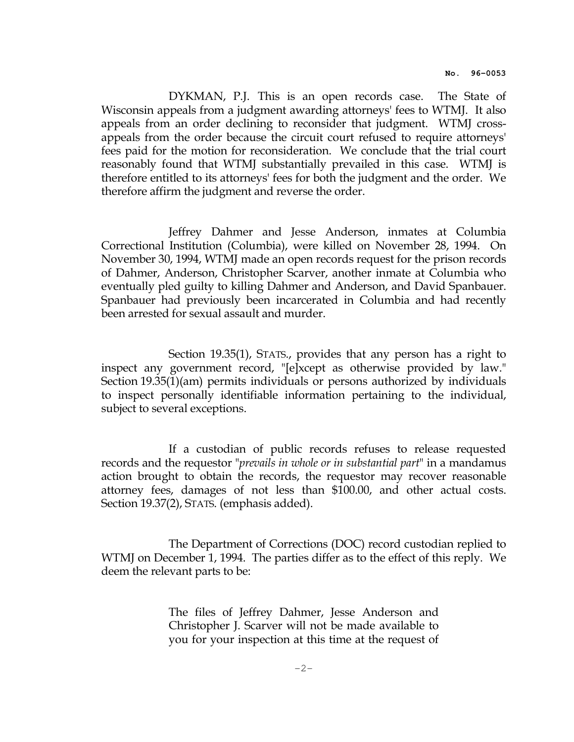DYKMAN, P.J. This is an open records case. The State of Wisconsin appeals from a judgment awarding attorneys' fees to WTMJ. It also appeals from an order declining to reconsider that judgment. WTMJ crossappeals from the order because the circuit court refused to require attorneys' fees paid for the motion for reconsideration. We conclude that the trial court reasonably found that WTMJ substantially prevailed in this case. WTMJ is therefore entitled to its attorneys' fees for both the judgment and the order. We therefore affirm the judgment and reverse the order.

 Jeffrey Dahmer and Jesse Anderson, inmates at Columbia Correctional Institution (Columbia), were killed on November 28, 1994. On November 30, 1994, WTMJ made an open records request for the prison records of Dahmer, Anderson, Christopher Scarver, another inmate at Columbia who eventually pled guilty to killing Dahmer and Anderson, and David Spanbauer. Spanbauer had previously been incarcerated in Columbia and had recently been arrested for sexual assault and murder.

 Section 19.35(1), STATS., provides that any person has a right to inspect any government record, "[e]xcept as otherwise provided by law." Section 19.35(1)(am) permits individuals or persons authorized by individuals to inspect personally identifiable information pertaining to the individual, subject to several exceptions.

 If a custodian of public records refuses to release requested records and the requestor "*prevails in whole or in substantial part*" in a mandamus action brought to obtain the records, the requestor may recover reasonable attorney fees, damages of not less than \$100.00, and other actual costs. Section 19.37(2), STATS. (emphasis added).

 The Department of Corrections (DOC) record custodian replied to WTMJ on December 1, 1994. The parties differ as to the effect of this reply. We deem the relevant parts to be:

> The files of Jeffrey Dahmer, Jesse Anderson and Christopher J. Scarver will not be made available to you for your inspection at this time at the request of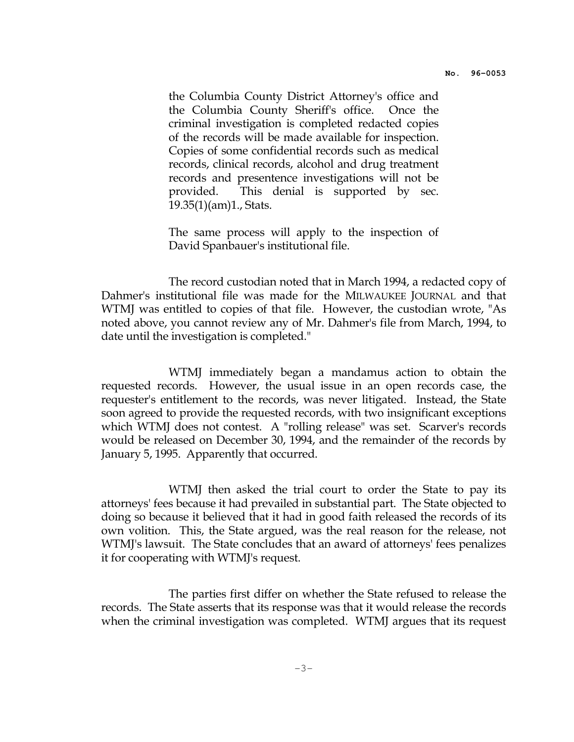the Columbia County District Attorney's office and the Columbia County Sheriff's office. Once the criminal investigation is completed redacted copies of the records will be made available for inspection. Copies of some confidential records such as medical records, clinical records, alcohol and drug treatment records and presentence investigations will not be provided. This denial is supported by sec. 19.35(1)(am)1., Stats.

 The same process will apply to the inspection of David Spanbauer's institutional file.

 The record custodian noted that in March 1994, a redacted copy of Dahmer's institutional file was made for the MILWAUKEE JOURNAL and that WTMJ was entitled to copies of that file. However, the custodian wrote, "As noted above, you cannot review any of Mr. Dahmer's file from March, 1994, to date until the investigation is completed."

 WTMJ immediately began a mandamus action to obtain the requested records. However, the usual issue in an open records case, the requester's entitlement to the records, was never litigated. Instead, the State soon agreed to provide the requested records, with two insignificant exceptions which WTMJ does not contest. A "rolling release" was set. Scarver's records would be released on December 30, 1994, and the remainder of the records by January 5, 1995. Apparently that occurred.

 WTMJ then asked the trial court to order the State to pay its attorneys' fees because it had prevailed in substantial part. The State objected to doing so because it believed that it had in good faith released the records of its own volition. This, the State argued, was the real reason for the release, not WTMJ's lawsuit. The State concludes that an award of attorneys' fees penalizes it for cooperating with WTMJ's request.

 The parties first differ on whether the State refused to release the records. The State asserts that its response was that it would release the records when the criminal investigation was completed. WTMJ argues that its request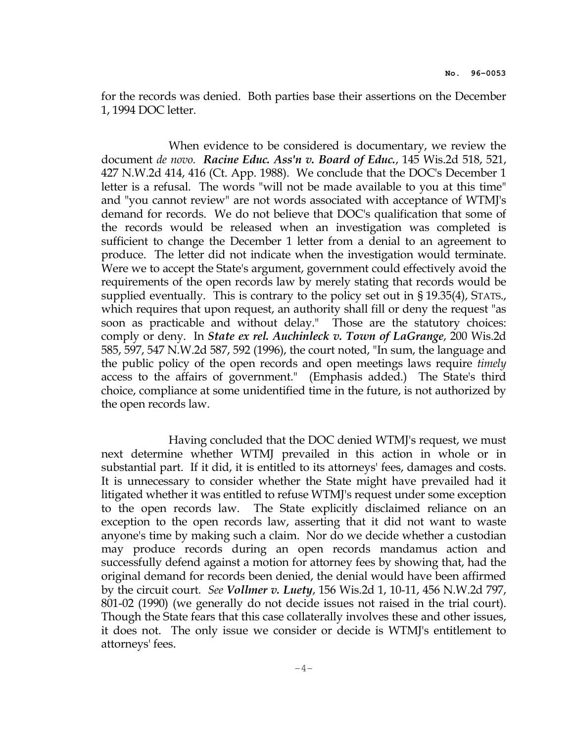for the records was denied. Both parties base their assertions on the December 1, 1994 DOC letter.

 When evidence to be considered is documentary, we review the document de novo. Racine Educ. Ass'n v. Board of Educ., 145 Wis.2d 518, 521, 427 N.W.2d 414, 416 (Ct. App. 1988). We conclude that the DOC's December 1 letter is a refusal. The words "will not be made available to you at this time" and "you cannot review" are not words associated with acceptance of WTMJ's demand for records. We do not believe that DOC's qualification that some of the records would be released when an investigation was completed is sufficient to change the December 1 letter from a denial to an agreement to produce. The letter did not indicate when the investigation would terminate. Were we to accept the State's argument, government could effectively avoid the requirements of the open records law by merely stating that records would be supplied eventually. This is contrary to the policy set out in § 19.35(4), STATS., which requires that upon request, an authority shall fill or deny the request "as soon as practicable and without delay." Those are the statutory choices: comply or deny. In *State ex rel. Auchinleck v. Town of LaGrange*, 200 Wis.2d 585, 597, 547 N.W.2d 587, 592 (1996), the court noted, "In sum, the language and the public policy of the open records and open meetings laws require timely access to the affairs of government." (Emphasis added.) The State's third choice, compliance at some unidentified time in the future, is not authorized by the open records law.

 Having concluded that the DOC denied WTMJ's request, we must next determine whether WTMJ prevailed in this action in whole or in substantial part. If it did, it is entitled to its attorneys' fees, damages and costs. It is unnecessary to consider whether the State might have prevailed had it litigated whether it was entitled to refuse WTMJ's request under some exception to the open records law. The State explicitly disclaimed reliance on an exception to the open records law, asserting that it did not want to waste anyone's time by making such a claim. Nor do we decide whether a custodian may produce records during an open records mandamus action and successfully defend against a motion for attorney fees by showing that, had the original demand for records been denied, the denial would have been affirmed by the circuit court. See Vollmer v. Luety, 156 Wis.2d 1, 10-11, 456 N.W.2d 797, 801-02 (1990) (we generally do not decide issues not raised in the trial court). Though the State fears that this case collaterally involves these and other issues, it does not. The only issue we consider or decide is WTMJ's entitlement to attorneys' fees.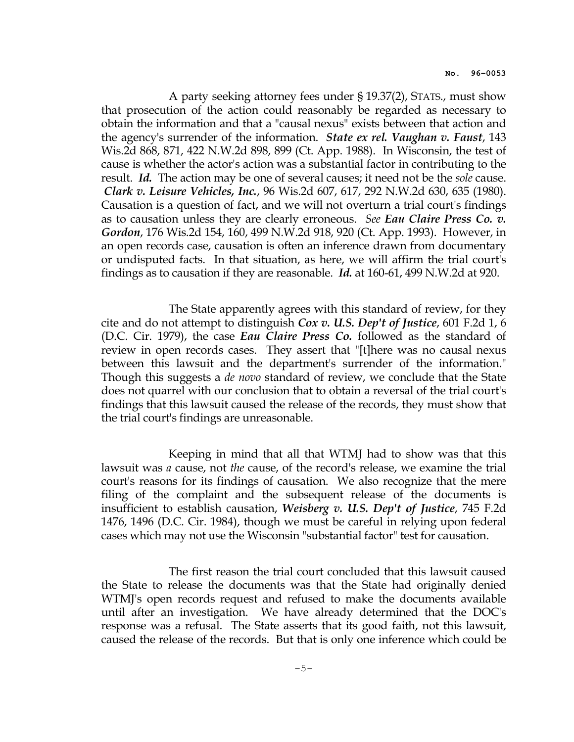A party seeking attorney fees under § 19.37(2), STATS., must show that prosecution of the action could reasonably be regarded as necessary to obtain the information and that a "causal nexus" exists between that action and the agency's surrender of the information. *State ex rel. Vaughan v. Faust*, 143 Wis.2d 868, 871, 422 N.W.2d 898, 899 (Ct. App. 1988). In Wisconsin, the test of cause is whether the actor's action was a substantial factor in contributing to the result. Id. The action may be one of several causes; it need not be the *sole* cause. Clark v. Leisure Vehicles, Inc., 96 Wis.2d 607, 617, 292 N.W.2d 630, 635 (1980). Causation is a question of fact, and we will not overturn a trial court's findings as to causation unless they are clearly erroneous. See Eau Claire Press Co. v. Gordon, 176 Wis.2d 154, 160, 499 N.W.2d 918, 920 (Ct. App. 1993). However, in an open records case, causation is often an inference drawn from documentary or undisputed facts. In that situation, as here, we will affirm the trial court's findings as to causation if they are reasonable. Id. at 160-61, 499 N.W.2d at 920.

 The State apparently agrees with this standard of review, for they cite and do not attempt to distinguish *Cox v. U.S. Dep't of Justice,* 601 F.2d 1, 6 (D.C. Cir. 1979), the case Eau Claire Press Co. followed as the standard of review in open records cases. They assert that "[t]here was no causal nexus between this lawsuit and the department's surrender of the information." Though this suggests a *de novo* standard of review, we conclude that the State does not quarrel with our conclusion that to obtain a reversal of the trial court's findings that this lawsuit caused the release of the records, they must show that the trial court's findings are unreasonable.

 Keeping in mind that all that WTMJ had to show was that this lawsuit was *a* cause, not *the* cause, of the record's release, we examine the trial court's reasons for its findings of causation. We also recognize that the mere filing of the complaint and the subsequent release of the documents is insufficient to establish causation, Weisberg v. U.S. Dep't of Justice, 745 F.2d 1476, 1496 (D.C. Cir. 1984), though we must be careful in relying upon federal cases which may not use the Wisconsin "substantial factor" test for causation.

 The first reason the trial court concluded that this lawsuit caused the State to release the documents was that the State had originally denied WTMJ's open records request and refused to make the documents available until after an investigation. We have already determined that the DOC's response was a refusal. The State asserts that its good faith, not this lawsuit, caused the release of the records. But that is only one inference which could be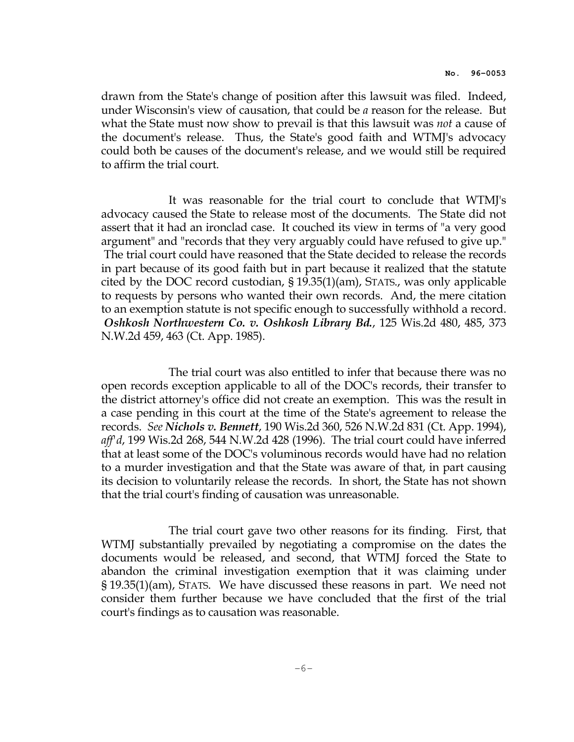drawn from the State's change of position after this lawsuit was filed. Indeed, under Wisconsin's view of causation, that could be a reason for the release. But what the State must now show to prevail is that this lawsuit was *not* a cause of the document's release. Thus, the State's good faith and WTMJ's advocacy could both be causes of the document's release, and we would still be required to affirm the trial court.

 It was reasonable for the trial court to conclude that WTMJ's advocacy caused the State to release most of the documents. The State did not assert that it had an ironclad case. It couched its view in terms of "a very good argument" and "records that they very arguably could have refused to give up." The trial court could have reasoned that the State decided to release the records in part because of its good faith but in part because it realized that the statute cited by the DOC record custodian, § 19.35(1)(am), STATS., was only applicable to requests by persons who wanted their own records. And, the mere citation to an exemption statute is not specific enough to successfully withhold a record. Oshkosh Northwestern Co. v. Oshkosh Library Bd., 125 Wis.2d 480, 485, 373 N.W.2d 459, 463 (Ct. App. 1985).

 The trial court was also entitled to infer that because there was no open records exception applicable to all of the DOC's records, their transfer to the district attorney's office did not create an exemption. This was the result in a case pending in this court at the time of the State's agreement to release the records. See Nichols v. Bennett, 190 Wis.2d 360, 526 N.W.2d 831 (Ct. App. 1994), aff d, 199 Wis.2d 268, 544 N.W.2d 428 (1996). The trial court could have inferred that at least some of the DOC's voluminous records would have had no relation to a murder investigation and that the State was aware of that, in part causing its decision to voluntarily release the records. In short, the State has not shown that the trial court's finding of causation was unreasonable.

 The trial court gave two other reasons for its finding. First, that WTMJ substantially prevailed by negotiating a compromise on the dates the documents would be released, and second, that WTMJ forced the State to abandon the criminal investigation exemption that it was claiming under § 19.35(1)(am), STATS. We have discussed these reasons in part. We need not consider them further because we have concluded that the first of the trial court's findings as to causation was reasonable.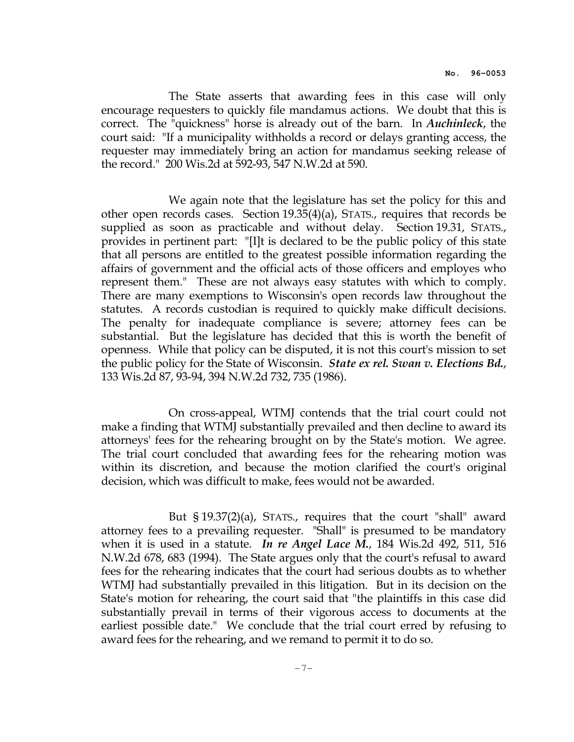The State asserts that awarding fees in this case will only encourage requesters to quickly file mandamus actions. We doubt that this is correct. The "quickness" horse is already out of the barn. In Auchinleck, the court said: "If a municipality withholds a record or delays granting access, the requester may immediately bring an action for mandamus seeking release of the record." 200 Wis.2d at 592-93, 547 N.W.2d at 590.

 We again note that the legislature has set the policy for this and other open records cases. Section 19.35(4)(a), STATS., requires that records be supplied as soon as practicable and without delay. Section 19.31, STATS., provides in pertinent part: "[I]t is declared to be the public policy of this state that all persons are entitled to the greatest possible information regarding the affairs of government and the official acts of those officers and employes who represent them." These are not always easy statutes with which to comply. There are many exemptions to Wisconsin's open records law throughout the statutes. A records custodian is required to quickly make difficult decisions. The penalty for inadequate compliance is severe; attorney fees can be substantial. But the legislature has decided that this is worth the benefit of openness. While that policy can be disputed, it is not this court's mission to set the public policy for the State of Wisconsin. *State ex rel. Swan v. Elections Bd.*, 133 Wis.2d 87, 93-94, 394 N.W.2d 732, 735 (1986).

 On cross-appeal, WTMJ contends that the trial court could not make a finding that WTMJ substantially prevailed and then decline to award its attorneys' fees for the rehearing brought on by the State's motion. We agree. The trial court concluded that awarding fees for the rehearing motion was within its discretion, and because the motion clarified the court's original decision, which was difficult to make, fees would not be awarded.

 But § 19.37(2)(a), STATS., requires that the court "shall" award attorney fees to a prevailing requester. "Shall" is presumed to be mandatory when it is used in a statute. In re Angel Lace M., 184 Wis.2d 492, 511, 516 N.W.2d 678, 683 (1994). The State argues only that the court's refusal to award fees for the rehearing indicates that the court had serious doubts as to whether WTMJ had substantially prevailed in this litigation. But in its decision on the State's motion for rehearing, the court said that "the plaintiffs in this case did substantially prevail in terms of their vigorous access to documents at the earliest possible date." We conclude that the trial court erred by refusing to award fees for the rehearing, and we remand to permit it to do so.